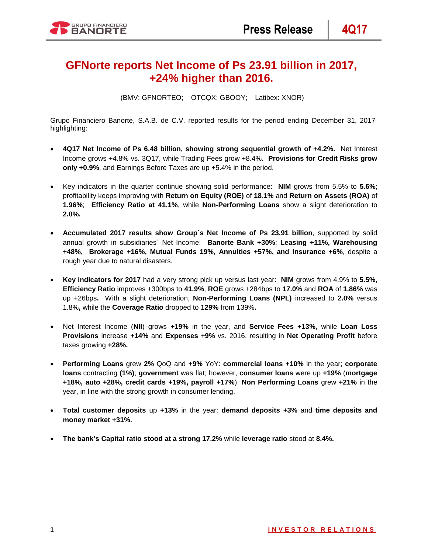# **GFNorte reports Net Income of Ps 23.91 billion in 2017, +24% higher than 2016.**

(BMV: GFNORTEO; OTCQX: GBOOY; Latibex: XNOR)

Grupo Financiero Banorte, S.A.B. de C.V. reported results for the period ending December 31, 2017 highlighting:

- **4Q17 Net Income of Ps 6.48 billion, showing strong sequential growth of +4.2%.** Net Interest Income grows +4.8% vs. 3Q17, while Trading Fees grow +8.4%. **Provisions for Credit Risks grow only +0.9%**, and Earnings Before Taxes are up +5.4% in the period.
- Key indicators in the quarter continue showing solid performance: **NIM** grows from 5.5% to **5.6%**; profitability keeps improving with **Return on Equity (ROE)** of **18.1%** and **Return on Assets (ROA)** of **1.96%**; **Efficiency Ratio at 41.1%**, while **Non-Performing Loans** show a slight deterioration to **2.0%.**
- **Accumulated 2017 results show Group´s Net Income of Ps 23.91 billion**, supported by solid annual growth in subsidiaries´ Net Income: **Banorte Bank +30%**; **Leasing +11%, Warehousing +48%, Brokerage +16%, Mutual Funds 19%, Annuities +57%, and Insurance +6%**, despite a rough year due to natural disasters.
- **Key indicators for 2017** had a very strong pick up versus last year: **NIM** grows from 4.9% to **5.5%**, **Efficiency Ratio** improves +300bps to **41.9%**, **ROE** grows +284bps to **17.0%** and **ROA** of **1.86%** was up +26bps**.** With a slight deterioration, **Non-Performing Loans (NPL)** increased to **2.0%** versus 1.8%**,** while the **Coverage Ratio** dropped to **129%** from 139%**.**
- Net Interest Income (**NII**) grows **+19%** in the year, and **Service Fees +13%**, while **Loan Loss Provisions** increase **+14%** and **Expenses +9%** vs. 2016, resulting in **Net Operating Profit** before taxes growing **+28%.**
- **Performing Loans** grew **2%** QoQ and **+9%** YoY: **commercial loans +10%** in the year; **corporate loans** contracting **(1%)**; **government** was flat; however, **consumer loans** were up **+19%** (**mortgage +18%, auto +28%, credit cards +19%, payroll +17%**). **Non Performing Loans** grew **+21%** in the year, in line with the strong growth in consumer lending.
- **Total customer deposits** up **+13%** in the year: **demand deposits +3%** and **time deposits and money market +31%.**
- **The bank's Capital ratio stood at a strong 17.2%** while **leverage ratio** stood at **8.4%.**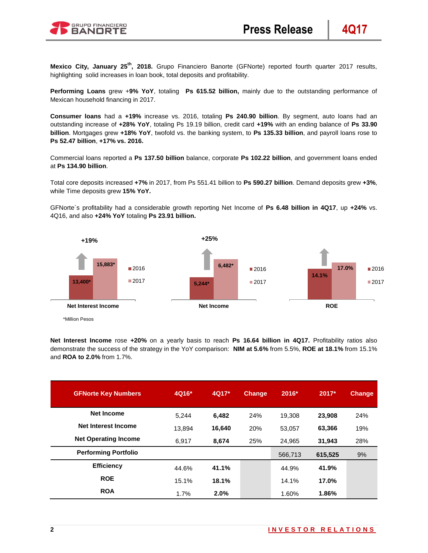

**Mexico City, January 25th, 2018.** Grupo Financiero Banorte (GFNorte) reported fourth quarter 2017 results, highlighting solid increases in loan book, total deposits and profitability.

**Performing Loans** grew +**9% YoY**, totaling **Ps 615.52 billion,** mainly due to the outstanding performance of Mexican household financing in 2017.

**Consumer loans** had a **+19%** increase vs. 2016, totaling **Ps 240.90 billion**. By segment, auto loans had an outstanding increase of **+28% YoY**, totaling Ps 19.19 billion, credit card **+19%** with an ending balance of **Ps 33.90 billion**. Mortgages grew **+18% YoY**, twofold vs. the banking system, to **Ps 135.33 billion**, and payroll loans rose to **Ps 52.47 billion**, **+17% vs. 2016.**

Commercial loans reported a **Ps 137.50 billion** balance, corporate **Ps 102.22 billion**, and government loans ended at **Ps 134.90 billion**.

Total core deposits increased **+7%** in 2017, from Ps 551.41 billion to **Ps 590.27 billion**. Demand deposits grew **+3%**, while Time deposits grew **15% YoY.**

GFNorte´s profitability had a considerable growth reporting Net Income of **Ps 6.48 billion in 4Q17**, up **+24%** vs. 4Q16, and also **+24% YoY** totaling **Ps 23.91 billion.**



**Net Interest Income** rose **+20%** on a yearly basis to reach **Ps 16.64 billion in 4Q17.** Profitability ratios also demonstrate the success of the strategy in the YoY comparison: **NIM at 5.6%** from 5.5%, **ROE at 18.1%** from 15.1% and **ROA to 2.0%** from 1.7%.

| <b>GFNorte Key Numbers</b>  | 4Q16*  | 4Q17*  | <b>Change</b> | 2016*   | $2017*$ | <b>Change</b> |
|-----------------------------|--------|--------|---------------|---------|---------|---------------|
| <b>Net Income</b>           | 5.244  | 6,482  | 24%           | 19.308  | 23,908  | 24%           |
| Net Interest Income         | 13.894 | 16,640 | 20%           | 53,057  | 63,366  | 19%           |
| <b>Net Operating Income</b> | 6,917  | 8,674  | 25%           | 24,965  | 31,943  | 28%           |
| <b>Performing Portfolio</b> |        |        |               | 566,713 | 615,525 | 9%            |
| <b>Efficiency</b>           | 44.6%  | 41.1%  |               | 44.9%   | 41.9%   |               |
| <b>ROE</b>                  | 15.1%  | 18.1%  |               | 14.1%   | 17.0%   |               |
| <b>ROA</b>                  | 1.7%   | 2.0%   |               | 1.60%   | 1.86%   |               |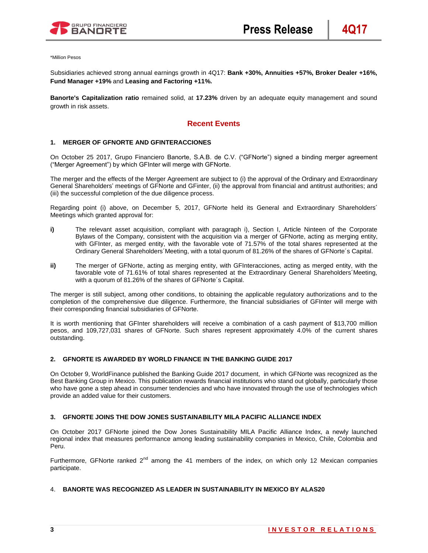

\*Million Pesos

Subsidiaries achieved strong annual earnings growth in 4Q17: **Bank +30%, Annuities +57%, Broker Dealer +16%, Fund Manager +19%** and **Leasing and Factoring +11%.**

**Banorte's Capitalization ratio** remained solid, at **17.23%** driven by an adequate equity management and sound growth in risk assets.

## **Recent Events**

### **1. MERGER OF GFNORTE AND GFINTERACCIONES**

On October 25 2017, Grupo Financiero Banorte, S.A.B. de C.V. ("GFNorte") signed a binding merger agreement ("Merger Agreement") by which GFInter will merge with GFNorte.

The merger and the effects of the Merger Agreement are subject to (i) the approval of the Ordinary and Extraordinary General Shareholders' meetings of GFNorte and GFinter, (ii) the approval from financial and antitrust authorities; and (iii) the successful completion of the due diligence process.

Regarding point (i) above, on December 5, 2017, GFNorte held its General and Extraordinary Shareholders´ Meetings which granted approval for:

- **i)** The relevant asset acquisition, compliant with paragraph i), Section I, Article Ninteen of the Corporate Bylaws of the Company, consistent with the acquisition via a merger of GFNorte, acting as merging entity, with GFInter, as merged entity, with the favorable vote of 71.57% of the total shares represented at the Ordinary General Shareholders´Meeting, with a total quorum of 81.26% of the shares of GFNorte´s Capital.
- **ii)** The merger of GFNorte, acting as merging entity, with GFInteracciones, acting as merged entity, with the favorable vote of 71.61% of total shares represented at the Extraordinary General Shareholders´Meeting, with a quorum of 81.26% of the shares of GFNorte´s Capital.

The merger is still subject, among other conditions, to obtaining the applicable regulatory authorizations and to the completion of the comprehensive due diligence. Furthermore, the financial subsidiaries of GFInter will merge with their corresponding financial subsidiaries of GFNorte.

It is worth mentioning that GFInter shareholders will receive a combination of a cash payment of \$13,700 million pesos, and 109,727,031 shares of GFNorte. Such shares represent approximately 4.0% of the current shares outstanding.

#### **2. GFNORTE IS AWARDED BY WORLD FINANCE IN THE BANKING GUIDE 2017**

On October 9, WorldFinance published the Banking Guide 2017 document, in which GFNorte was recognized as the Best Banking Group in Mexico. This publication rewards financial institutions who stand out globally, particularly those who have gone a step ahead in consumer tendencies and who have innovated through the use of technologies which provide an added value for their customers.

#### **3. GFNORTE JOINS THE DOW JONES SUSTAINABILITY MILA PACIFIC ALLIANCE INDEX**

On October 2017 GFNorte joined the Dow Jones Sustainability MILA Pacific Alliance Index, a newly launched regional index that measures performance among leading sustainability companies in Mexico, Chile, Colombia and Peru.

Furthermore, GFNorte ranked  $2<sup>nd</sup>$  among the 41 members of the index, on which only 12 Mexican companies participate.

#### 4. **BANORTE WAS RECOGNIZED AS LEADER IN SUSTAINABILITY IN MEXICO BY ALAS20**